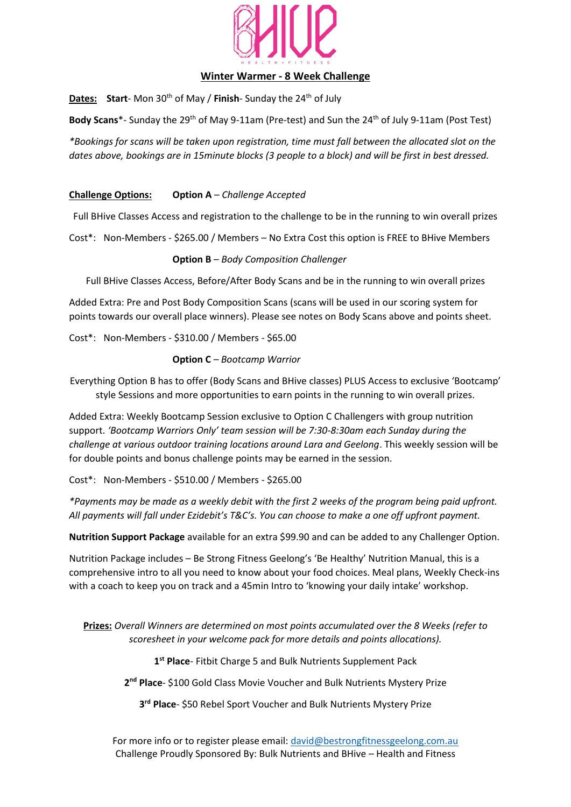

## **Winter Warmer - 8 Week Challenge**

**Dates:** Start-Mon 30<sup>th</sup> of May / Finish-Sunday the 24<sup>th</sup> of July

Body Scans<sup>\*</sup>- Sunday the 29<sup>th</sup> of May 9-11am (Pre-test) and Sun the 24<sup>th</sup> of July 9-11am (Post Test)

*\*Bookings for scans will be taken upon registration, time must fall between the allocated slot on the dates above, bookings are in 15minute blocks (3 people to a block) and will be first in best dressed.*

**Challenge Options: Option A** – *Challenge Accepted*

Full BHive Classes Access and registration to the challenge to be in the running to win overall prizes

Cost\*: Non-Members - \$265.00 / Members – No Extra Cost this option is FREE to BHive Members

**Option B** – *Body Composition Challenger*

Full BHive Classes Access, Before/After Body Scans and be in the running to win overall prizes

Added Extra: Pre and Post Body Composition Scans (scans will be used in our scoring system for points towards our overall place winners). Please see notes on Body Scans above and points sheet.

Cost\*: Non-Members - \$310.00 / Members - \$65.00

**Option C** *– Bootcamp Warrior*

Everything Option B has to offer (Body Scans and BHive classes) PLUS Access to exclusive 'Bootcamp' style Sessions and more opportunities to earn points in the running to win overall prizes.

Added Extra: Weekly Bootcamp Session exclusive to Option C Challengers with group nutrition support. *'Bootcamp Warriors Only' team session will be 7:30-8:30am each Sunday during the challenge at various outdoor training locations around Lara and Geelong*. This weekly session will be for double points and bonus challenge points may be earned in the session.

Cost\*: Non-Members - \$510.00 / Members - \$265.00

*\*Payments may be made as a weekly debit with the first 2 weeks of the program being paid upfront. All payments will fall under Ezidebit's T&C's. You can choose to make a one off upfront payment.*

**Nutrition Support Package** available for an extra \$99.90 and can be added to any Challenger Option.

Nutrition Package includes – Be Strong Fitness Geelong's 'Be Healthy' Nutrition Manual, this is a comprehensive intro to all you need to know about your food choices. Meal plans, Weekly Check-ins with a coach to keep you on track and a 45min Intro to 'knowing your daily intake' workshop.

**Prizes:** *Overall Winners are determined on most points accumulated over the 8 Weeks (refer to scoresheet in your welcome pack for more details and points allocations).*

**1 st Place**- Fitbit Charge 5 and Bulk Nutrients Supplement Pack

**2 nd Place**- \$100 Gold Class Movie Voucher and Bulk Nutrients Mystery Prize

**3 rd Place**- \$50 Rebel Sport Voucher and Bulk Nutrients Mystery Prize

For more info or to register please email: [david@bestrongfitnessgeelong.com.au](mailto:david@bestrongfitnessgeelong.com.au) Challenge Proudly Sponsored By: Bulk Nutrients and BHive – Health and Fitness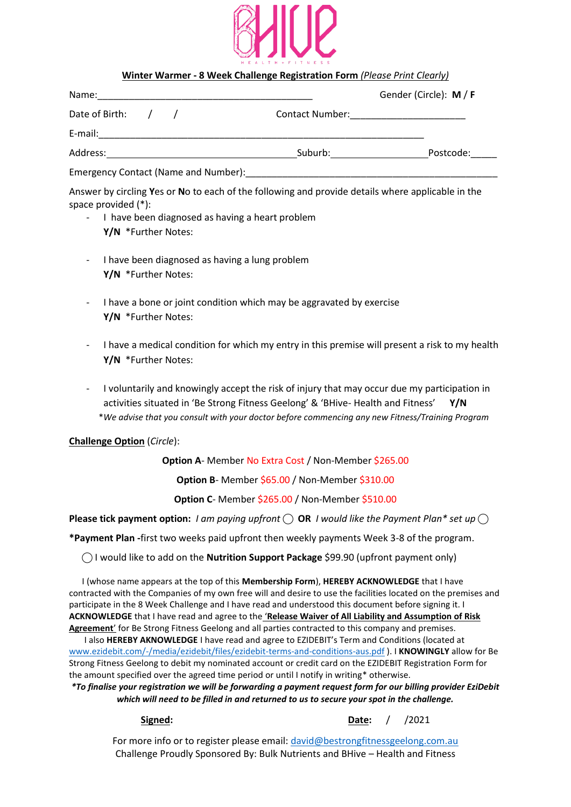

### **Winter Warmer - 8 Week Challenge Registration Form** *(Please Print Clearly)*

| Name:                                |         | Gender (Circle): M / F                    |
|--------------------------------------|---------|-------------------------------------------|
| Date of Birth:                       |         | Contact Number: _________________________ |
| E-mail:                              |         |                                           |
| Address:                             | Suburb: | Postcode:                                 |
| Emergency Contact (Name and Number): |         |                                           |

Answer by circling **Y**es or **N**o to each of the following and provide details where applicable in the space provided (\*):

- I have been diagnosed as having a heart problem **Y/N** \*Further Notes:
- I have been diagnosed as having a lung problem **Y/N** \*Further Notes:
- I have a bone or joint condition which may be aggravated by exercise **Y/N** \*Further Notes:
- I have a medical condition for which my entry in this premise will present a risk to my health **Y/N** \*Further Notes:
- I voluntarily and knowingly accept the risk of injury that may occur due my participation in activities situated in 'Be Strong Fitness Geelong' & 'BHive- Health and Fitness' **Y/N** \**We advise that you consult with your doctor before commencing any new Fitness/Training Program*

### **Challenge Option** (*Circle*):

**Option A**- Member No Extra Cost / Non-Member \$265.00

**Option B**- Member \$65.00 / Non-Member \$310.00

**Option C**- Member \$265.00 / Non-Member \$510.00

**Please tick payment option:** *I am paying upfront*  $\bigcirc$  **OR** *I would like the Payment Plan\* set up* $\bigcirc$ 

**\*Payment Plan -**first two weeks paid upfront then weekly payments Week 3-8 of the program.

**⃝** I would like to add on the **Nutrition Support Package** \$99.90 (upfront payment only)

I (whose name appears at the top of this **Membership Form**), **HEREBY ACKNOWLEDGE** that I have contracted with the Companies of my own free will and desire to use the facilities located on the premises and participate in the 8 Week Challenge and I have read and understood this document before signing it. I **ACKNOWLEDGE** that I have read and agree to the '**Release Waiver of All Liability and Assumption of Risk Agreement**' for Be Strong Fitness Geelong and all parties contracted to this company and premises.

I also **HEREBY AKNOWLEDGE** I have read and agree to EZIDEBIT's Term and Conditions (located at [www.ezidebit.com/-/media/ezidebit/files/ezidebit-terms-and-conditions-aus.pdf](http://www.ezidebit.com/-/media/ezidebit/files/ezidebit-terms-and-conditions-aus.pdf) ). I **KNOWINGLY** allow for Be Strong Fitness Geelong to debit my nominated account or credit card on the EZIDEBIT Registration Form for the amount specified over the agreed time period or until I notify in writing\* otherwise.

*\*To finalise your registration we will be forwarding a payment request form for our billing provider EziDebit which will need to be filled in and returned to us to secure your spot in the challenge.*

## **Signed: Date:** / /2021

For more info or to register please email: [david@bestrongfitnessgeelong.com.au](mailto:david@bestrongfitnessgeelong.com.au) Challenge Proudly Sponsored By: Bulk Nutrients and BHive – Health and Fitness